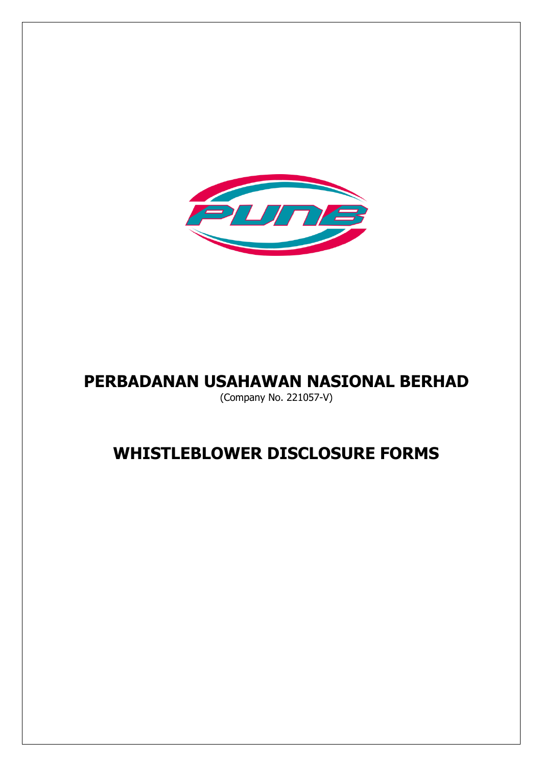

# **PERBADANAN USAHAWAN NASIONAL BERHAD**

(Company No. 221057-V)

# **WHISTLEBLOWER DISCLOSURE FORMS**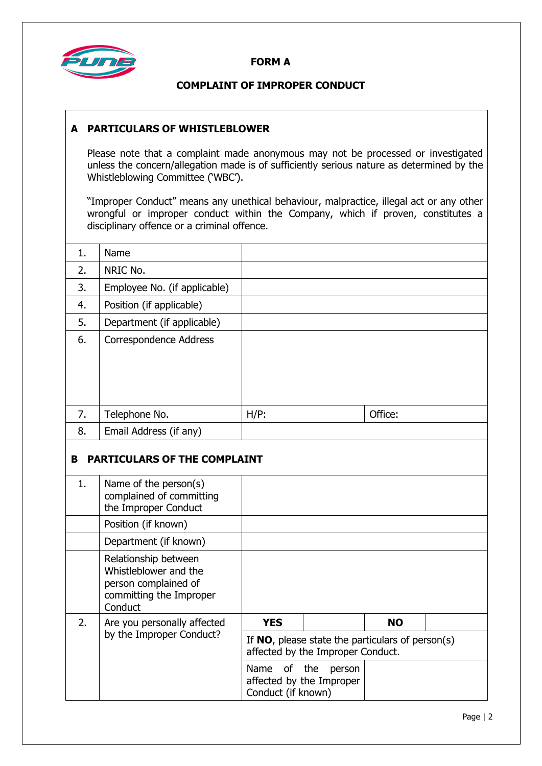

#### **FORM A**

# **COMPLAINT OF IMPROPER CONDUCT**

## **A PARTICULARS OF WHISTLEBLOWER**

Please note that a complaint made anonymous may not be processed or investigated unless the concern/allegation made is of sufficiently serious nature as determined by the Whistleblowing Committee ('WBC').

"Improper Conduct" means any unethical behaviour, malpractice, illegal act or any other wrongful or improper conduct within the Company, which if proven, constitutes a disciplinary offence or a criminal offence.

| 1. | Name                         |         |         |
|----|------------------------------|---------|---------|
| 2. | NRIC No.                     |         |         |
| 3. | Employee No. (if applicable) |         |         |
| 4. | Position (if applicable)     |         |         |
| 5. | Department (if applicable)   |         |         |
| 6. | Correspondence Address       |         |         |
| 7. | Telephone No.                | $H/P$ : | Office: |
| 8. | Email Address (if any)       |         |         |

# **B PARTICULARS OF THE COMPLAINT**

| 1. | Name of the person(s)<br>complained of committing<br>the Improper Conduct                                   |                                                                                          |        |           |  |
|----|-------------------------------------------------------------------------------------------------------------|------------------------------------------------------------------------------------------|--------|-----------|--|
|    | Position (if known)                                                                                         |                                                                                          |        |           |  |
|    | Department (if known)                                                                                       |                                                                                          |        |           |  |
|    | Relationship between<br>Whistleblower and the<br>person complained of<br>committing the Improper<br>Conduct |                                                                                          |        |           |  |
| 2. | Are you personally affected<br>by the Improper Conduct?                                                     | <b>YES</b>                                                                               |        | <b>NO</b> |  |
|    |                                                                                                             | If $NO$ , please state the particulars of person(s)<br>affected by the Improper Conduct. |        |           |  |
|    |                                                                                                             | Name of the<br>affected by the Improper<br>Conduct (if known)                            | person |           |  |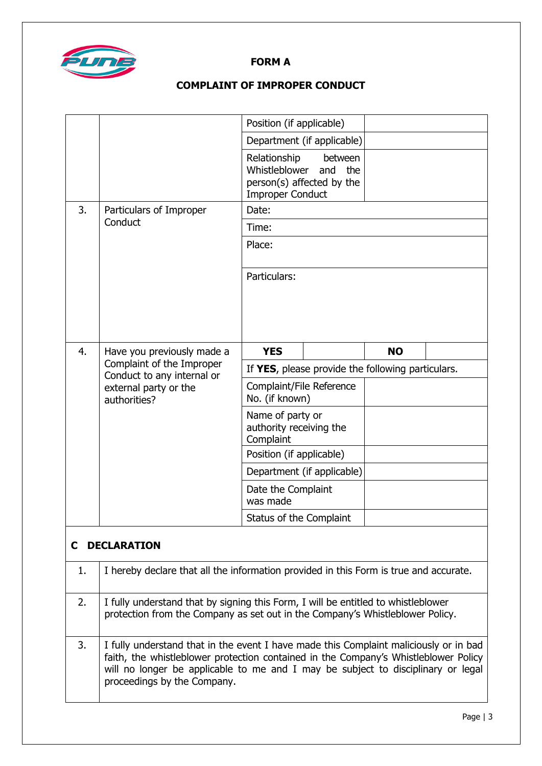

#### **FORM A**

# **COMPLAINT OF IMPROPER CONDUCT**

|    |                                                                                                                                                                    | Position (if applicable)                                                                     |                |  |  |
|----|--------------------------------------------------------------------------------------------------------------------------------------------------------------------|----------------------------------------------------------------------------------------------|----------------|--|--|
|    |                                                                                                                                                                    | Department (if applicable)                                                                   |                |  |  |
|    |                                                                                                                                                                    | Relationship<br>Whistleblower<br>and<br>person(s) affected by the<br><b>Improper Conduct</b> | between<br>the |  |  |
| 3. | Particulars of Improper<br>Conduct                                                                                                                                 | Date:                                                                                        |                |  |  |
|    |                                                                                                                                                                    | Time:                                                                                        |                |  |  |
|    |                                                                                                                                                                    | Place:                                                                                       |                |  |  |
|    |                                                                                                                                                                    | Particulars:                                                                                 |                |  |  |
|    |                                                                                                                                                                    |                                                                                              |                |  |  |
|    |                                                                                                                                                                    |                                                                                              |                |  |  |
|    |                                                                                                                                                                    |                                                                                              |                |  |  |
| 4. | Have you previously made a<br>Complaint of the Improper<br>Conduct to any internal or<br>external party or the<br>authorities?                                     | <b>YES</b>                                                                                   | <b>NO</b>      |  |  |
|    |                                                                                                                                                                    | If YES, please provide the following particulars.                                            |                |  |  |
|    |                                                                                                                                                                    | Complaint/File Reference<br>No. (if known)                                                   |                |  |  |
|    |                                                                                                                                                                    | Name of party or<br>authority receiving the<br>Complaint                                     |                |  |  |
|    |                                                                                                                                                                    | Position (if applicable)                                                                     |                |  |  |
|    |                                                                                                                                                                    | Department (if applicable)                                                                   |                |  |  |
|    |                                                                                                                                                                    | Date the Complaint<br>was made                                                               |                |  |  |
|    |                                                                                                                                                                    | Status of the Complaint                                                                      |                |  |  |
| C  | <b>DECLARATION</b>                                                                                                                                                 |                                                                                              |                |  |  |
| 1. | I hereby declare that all the information provided in this Form is true and accurate.                                                                              |                                                                                              |                |  |  |
| 2. | I fully understand that by signing this Form, I will be entitled to whistleblower<br>protection from the Company as set out in the Company's Whistleblower Policy. |                                                                                              |                |  |  |

3. I fully understand that in the event I have made this Complaint maliciously or in bad faith, the whistleblower protection contained in the Company's Whistleblower Policy will no longer be applicable to me and I may be subject to disciplinary or legal proceedings by the Company.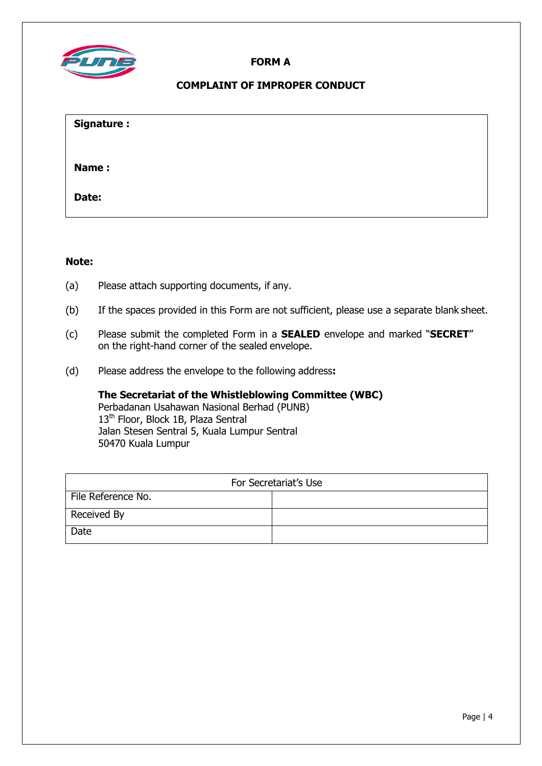

## **FORM A**

## **COMPLAINT OF IMPROPER CONDUCT**

| Signature: |  |  |  |
|------------|--|--|--|
| Name:      |  |  |  |
| Date:      |  |  |  |

#### **Note:**

- (a) Please attach supporting documents, if any.
- (b) If the spaces provided in this Form are not sufficient, please use a separate blank sheet.
- (c) Please submit the completed Form in a **SEALED** envelope and marked "**SECRET**" on the right-hand corner of the sealed envelope.
- (d) Please address the envelope to the following address**:**

**The Secretariat of the Whistleblowing Committee (WBC)** Perbadanan Usahawan Nasional Berhad (PUNB) 13<sup>th</sup> Floor, Block 1B, Plaza Sentral Jalan Stesen Sentral 5, Kuala Lumpur Sentral 50470 Kuala Lumpur

| For Secretariat's Use |  |  |
|-----------------------|--|--|
| File Reference No.    |  |  |
| Received By           |  |  |
| Date                  |  |  |